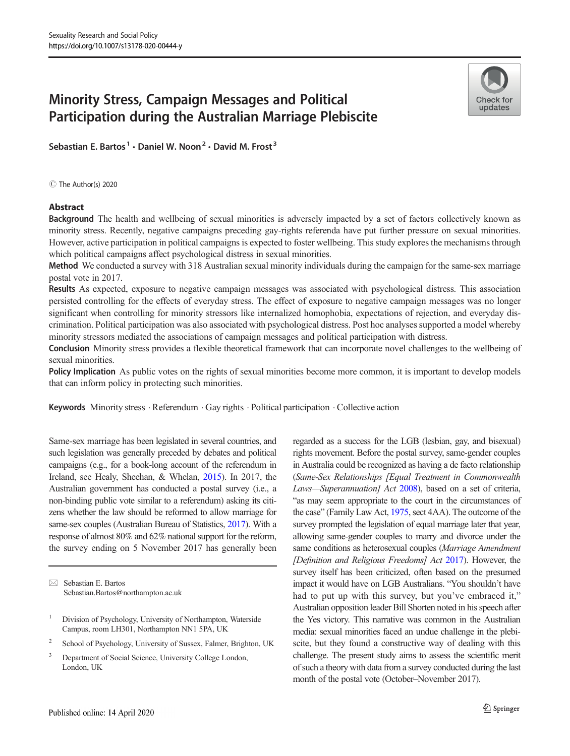# Minority Stress, Campaign Messages and Political Participation during the Australian Marriage Plebiscite



Sebastian E. Bartos<sup>1</sup> · Daniel W. Noon<sup>2</sup> · David M. Frost<sup>3</sup>

C The Author(s) 2020

# Abstract

Background The health and wellbeing of sexual minorities is adversely impacted by a set of factors collectively known as minority stress. Recently, negative campaigns preceding gay-rights referenda have put further pressure on sexual minorities. However, active participation in political campaigns is expected to foster wellbeing. This study explores the mechanisms through which political campaigns affect psychological distress in sexual minorities.

Method We conducted a survey with 318 Australian sexual minority individuals during the campaign for the same-sex marriage postal vote in 2017.

Results As expected, exposure to negative campaign messages was associated with psychological distress. This association persisted controlling for the effects of everyday stress. The effect of exposure to negative campaign messages was no longer significant when controlling for minority stressors like internalized homophobia, expectations of rejection, and everyday discrimination. Political participation was also associated with psychological distress. Post hoc analyses supported a model whereby minority stressors mediated the associations of campaign messages and political participation with distress.

Conclusion Minority stress provides a flexible theoretical framework that can incorporate novel challenges to the wellbeing of sexual minorities.

Policy Implication As public votes on the rights of sexual minorities become more common, it is important to develop models that can inform policy in protecting such minorities.

**Keywords** Minority stress  $\cdot$  Referendum  $\cdot$  Gay rights  $\cdot$  Political participation  $\cdot$  Collective action

Same-sex marriage has been legislated in several countries, and such legislation was generally preceded by debates and political campaigns (e.g., for a book-long account of the referendum in Ireland, see Healy, Sheehan, & Whelan, [2015\)](#page-10-0). In 2017, the Australian government has conducted a postal survey (i.e., a non-binding public vote similar to a referendum) asking its citizens whether the law should be reformed to allow marriage for same-sex couples (Australian Bureau of Statistics, [2017](#page-10-0)). With a response of almost 80% and 62% national support for the reform, the survey ending on 5 November 2017 has generally been

<sup>2</sup> School of Psychology, University of Sussex, Falmer, Brighton, UK

regarded as a success for the LGB (lesbian, gay, and bisexual) rights movement. Before the postal survey, same-gender couples in Australia could be recognized as having a de facto relationship (Same-Sex Relationships [Equal Treatment in Commonwealth Laws—Superannuation] Act [2008](#page-11-0)), based on a set of criteria, "as may seem appropriate to the court in the circumstances of the case" (Family Law Act, [1975,](#page-10-0) sect 4AA). The outcome of the survey prompted the legislation of equal marriage later that year, allowing same-gender couples to marry and divorce under the same conditions as heterosexual couples (Marriage Amendment [Definition and Religious Freedoms] Act [2017](#page-10-0)). However, the survey itself has been criticized, often based on the presumed impact it would have on LGB Australians. "You shouldn't have had to put up with this survey, but you've embraced it," Australian opposition leader Bill Shorten noted in his speech after the Yes victory. This narrative was common in the Australian media: sexual minorities faced an undue challenge in the plebiscite, but they found a constructive way of dealing with this challenge. The present study aims to assess the scientific merit of such a theory with data from a survey conducted during the last month of the postal vote (October–November 2017).

 $\boxtimes$  Sebastian E. Bartos [Sebastian.Bartos@northampton.ac.uk](mailto:Sebastian.Bartos@northampton.ac.uk)

<sup>1</sup> Division of Psychology, University of Northampton, Waterside Campus, room LH301, Northampton NN1 5PA, UK

<sup>&</sup>lt;sup>3</sup> Department of Social Science, University College London, London, UK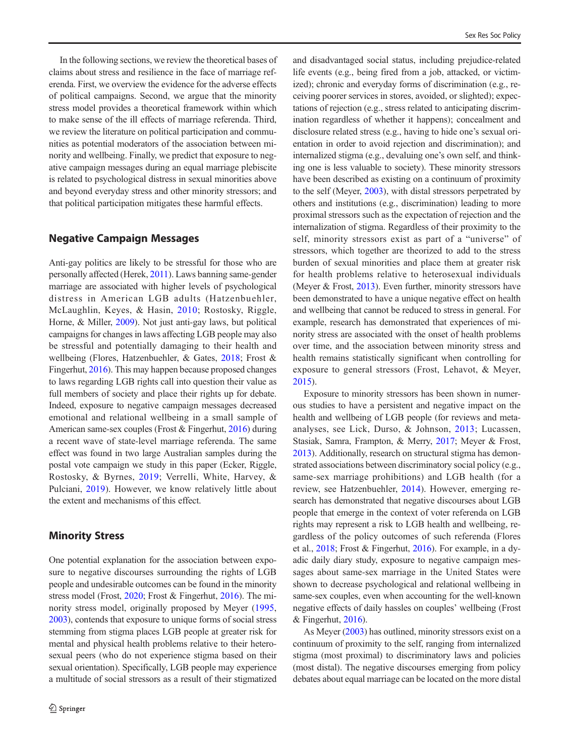In the following sections, we review the theoretical bases of claims about stress and resilience in the face of marriage referenda. First, we overview the evidence for the adverse effects of political campaigns. Second, we argue that the minority stress model provides a theoretical framework within which to make sense of the ill effects of marriage referenda. Third, we review the literature on political participation and communities as potential moderators of the association between minority and wellbeing. Finally, we predict that exposure to negative campaign messages during an equal marriage plebiscite is related to psychological distress in sexual minorities above and beyond everyday stress and other minority stressors; and that political participation mitigates these harmful effects.

# Negative Campaign Messages

Anti-gay politics are likely to be stressful for those who are personally affected (Herek, [2011](#page-10-0)). Laws banning same-gender marriage are associated with higher levels of psychological distress in American LGB adults (Hatzenbuehler, McLaughlin, Keyes, & Hasin, [2010](#page-10-0); Rostosky, Riggle, Horne, & Miller, [2009](#page-11-0)). Not just anti-gay laws, but political campaigns for changes in laws affecting LGB people may also be stressful and potentially damaging to their health and wellbeing (Flores, Hatzenbuehler, & Gates, [2018;](#page-10-0) Frost & Fingerhut, [2016](#page-10-0)). This may happen because proposed changes to laws regarding LGB rights call into question their value as full members of society and place their rights up for debate. Indeed, exposure to negative campaign messages decreased emotional and relational wellbeing in a small sample of American same-sex couples (Frost & Fingerhut, [2016](#page-10-0)) during a recent wave of state-level marriage referenda. The same effect was found in two large Australian samples during the postal vote campaign we study in this paper (Ecker, Riggle, Rostosky, & Byrnes, [2019](#page-10-0); Verrelli, White, Harvey, & Pulciani, [2019](#page-11-0)). However, we know relatively little about the extent and mechanisms of this effect.

# Minority Stress

One potential explanation for the association between exposure to negative discourses surrounding the rights of LGB people and undesirable outcomes can be found in the minority stress model (Frost, [2020](#page-10-0); Frost & Fingerhut, [2016\)](#page-10-0). The minority stress model, originally proposed by Meyer [\(1995,](#page-11-0) [2003\)](#page-11-0), contends that exposure to unique forms of social stress stemming from stigma places LGB people at greater risk for mental and physical health problems relative to their heterosexual peers (who do not experience stigma based on their sexual orientation). Specifically, LGB people may experience a multitude of social stressors as a result of their stigmatized

and disadvantaged social status, including prejudice-related life events (e.g., being fired from a job, attacked, or victimized); chronic and everyday forms of discrimination (e.g., receiving poorer services in stores, avoided, or slighted); expectations of rejection (e.g., stress related to anticipating discrimination regardless of whether it happens); concealment and disclosure related stress (e.g., having to hide one's sexual orientation in order to avoid rejection and discrimination); and internalized stigma (e.g., devaluing one's own self, and thinking one is less valuable to society). These minority stressors have been described as existing on a continuum of proximity to the self (Meyer, [2003\)](#page-11-0), with distal stressors perpetrated by others and institutions (e.g., discrimination) leading to more proximal stressors such as the expectation of rejection and the internalization of stigma. Regardless of their proximity to the self, minority stressors exist as part of a "universe" of stressors, which together are theorized to add to the stress burden of sexual minorities and place them at greater risk for health problems relative to heterosexual individuals (Meyer & Frost, [2013](#page-11-0)). Even further, minority stressors have been demonstrated to have a unique negative effect on health and wellbeing that cannot be reduced to stress in general. For example, research has demonstrated that experiences of minority stress are associated with the onset of health problems over time, and the association between minority stress and health remains statistically significant when controlling for exposure to general stressors (Frost, Lehavot, & Meyer, [2015\)](#page-10-0).

Exposure to minority stressors has been shown in numerous studies to have a persistent and negative impact on the health and wellbeing of LGB people (for reviews and metaanalyses, see Lick, Durso, & Johnson, [2013](#page-10-0); Lucassen, Stasiak, Samra, Frampton, & Merry, [2017](#page-10-0); Meyer & Frost, [2013\)](#page-11-0). Additionally, research on structural stigma has demonstrated associations between discriminatory social policy (e.g., same-sex marriage prohibitions) and LGB health (for a review, see Hatzenbuehler, [2014\)](#page-10-0). However, emerging research has demonstrated that negative discourses about LGB people that emerge in the context of voter referenda on LGB rights may represent a risk to LGB health and wellbeing, regardless of the policy outcomes of such referenda (Flores et al., [2018;](#page-10-0) Frost & Fingerhut, [2016\)](#page-10-0). For example, in a dyadic daily diary study, exposure to negative campaign messages about same-sex marriage in the United States were shown to decrease psychological and relational wellbeing in same-sex couples, even when accounting for the well-known negative effects of daily hassles on couples' wellbeing (Frost & Fingerhut, [2016\)](#page-10-0).

As Meyer [\(2003\)](#page-11-0) has outlined, minority stressors exist on a continuum of proximity to the self, ranging from internalized stigma (most proximal) to discriminatory laws and policies (most distal). The negative discourses emerging from policy debates about equal marriage can be located on the more distal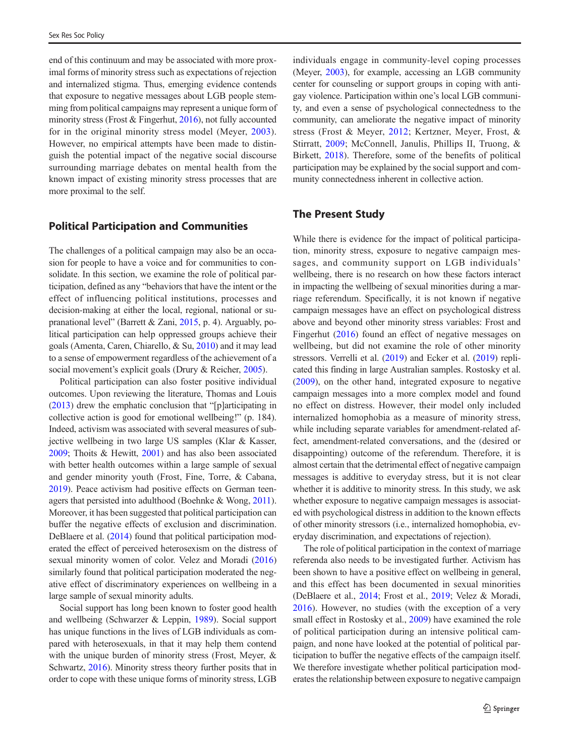end of this continuum and may be associated with more proximal forms of minority stress such as expectations of rejection and internalized stigma. Thus, emerging evidence contends that exposure to negative messages about LGB people stemming from political campaigns may represent a unique form of minority stress (Frost & Fingerhut, [2016\)](#page-10-0), not fully accounted for in the original minority stress model (Meyer, [2003](#page-11-0)). However, no empirical attempts have been made to distinguish the potential impact of the negative social discourse surrounding marriage debates on mental health from the known impact of existing minority stress processes that are more proximal to the self.

## Political Participation and Communities

The challenges of a political campaign may also be an occasion for people to have a voice and for communities to consolidate. In this section, we examine the role of political participation, defined as any "behaviors that have the intent or the effect of influencing political institutions, processes and decision-making at either the local, regional, national or supranational level" (Barrett & Zani, [2015](#page-10-0), p. 4). Arguably, political participation can help oppressed groups achieve their goals (Amenta, Caren, Chiarello, & Su, [2010\)](#page-10-0) and it may lead to a sense of empowerment regardless of the achievement of a social movement's explicit goals (Drury & Reicher, [2005](#page-10-0)).

Political participation can also foster positive individual outcomes. Upon reviewing the literature, Thomas and Louis [\(2013\)](#page-11-0) drew the emphatic conclusion that "[p]articipating in collective action is good for emotional wellbeing!" (p. 184). Indeed, activism was associated with several measures of subjective wellbeing in two large US samples (Klar & Kasser, [2009;](#page-10-0) Thoits & Hewitt, [2001\)](#page-11-0) and has also been associated with better health outcomes within a large sample of sexual and gender minority youth (Frost, Fine, Torre, & Cabana, [2019\)](#page-10-0). Peace activism had positive effects on German teenagers that persisted into adulthood (Boehnke & Wong, [2011\)](#page-10-0). Moreover, it has been suggested that political participation can buffer the negative effects of exclusion and discrimination. DeBlaere et al. [\(2014\)](#page-10-0) found that political participation moderated the effect of perceived heterosexism on the distress of sexual minority women of color. Velez and Moradi [\(2016\)](#page-11-0) similarly found that political participation moderated the negative effect of discriminatory experiences on wellbeing in a large sample of sexual minority adults.

Social support has long been known to foster good health and wellbeing (Schwarzer & Leppin, [1989\)](#page-11-0). Social support has unique functions in the lives of LGB individuals as compared with heterosexuals, in that it may help them contend with the unique burden of minority stress (Frost, Meyer, & Schwartz, [2016\)](#page-10-0). Minority stress theory further posits that in order to cope with these unique forms of minority stress, LGB individuals engage in community-level coping processes (Meyer, [2003\)](#page-11-0), for example, accessing an LGB community center for counseling or support groups in coping with antigay violence. Participation within one's local LGB community, and even a sense of psychological connectedness to the community, can ameliorate the negative impact of minority stress (Frost & Meyer, [2012;](#page-10-0) Kertzner, Meyer, Frost, & Stirratt, [2009;](#page-10-0) McConnell, Janulis, Phillips II, Truong, & Birkett, [2018](#page-10-0)). Therefore, some of the benefits of political participation may be explained by the social support and community connectedness inherent in collective action.

# The Present Study

While there is evidence for the impact of political participation, minority stress, exposure to negative campaign messages, and community support on LGB individuals' wellbeing, there is no research on how these factors interact in impacting the wellbeing of sexual minorities during a marriage referendum. Specifically, it is not known if negative campaign messages have an effect on psychological distress above and beyond other minority stress variables: Frost and Fingerhut [\(2016](#page-10-0)) found an effect of negative messages on wellbeing, but did not examine the role of other minority stressors. Verrelli et al. ([2019](#page-11-0)) and Ecker et al. ([2019](#page-10-0)) replicated this finding in large Australian samples. Rostosky et al. [\(2009](#page-11-0)), on the other hand, integrated exposure to negative campaign messages into a more complex model and found no effect on distress. However, their model only included internalized homophobia as a measure of minority stress, while including separate variables for amendment-related affect, amendment-related conversations, and the (desired or disappointing) outcome of the referendum. Therefore, it is almost certain that the detrimental effect of negative campaign messages is additive to everyday stress, but it is not clear whether it is additive to minority stress. In this study, we ask whether exposure to negative campaign messages is associated with psychological distress in addition to the known effects of other minority stressors (i.e., internalized homophobia, everyday discrimination, and expectations of rejection).

The role of political participation in the context of marriage referenda also needs to be investigated further. Activism has been shown to have a positive effect on wellbeing in general, and this effect has been documented in sexual minorities (DeBlaere et al., [2014](#page-10-0); Frost et al., [2019](#page-10-0); Velez & Moradi, [2016](#page-11-0)). However, no studies (with the exception of a very small effect in Rostosky et al., [2009](#page-11-0)) have examined the role of political participation during an intensive political campaign, and none have looked at the potential of political participation to buffer the negative effects of the campaign itself. We therefore investigate whether political participation moderates the relationship between exposure to negative campaign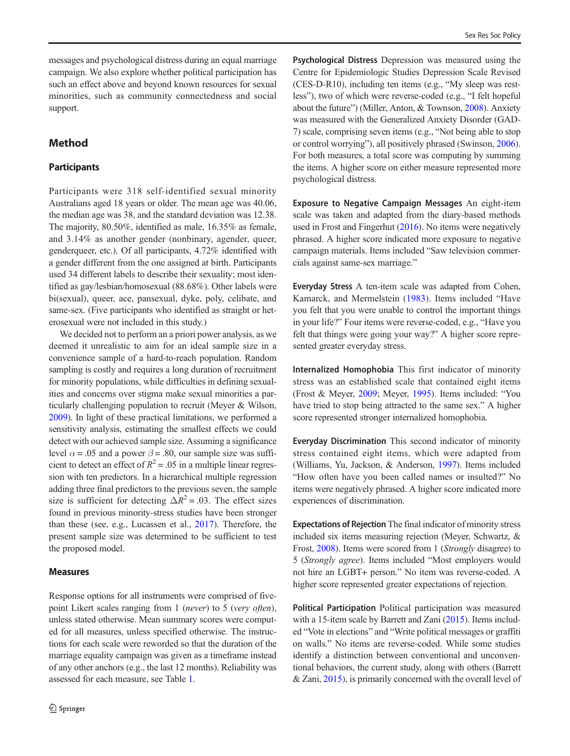messages and psychological distress during an equal marriage campaign. We also explore whether political participation has such an effect above and beyond known resources for sexual minorities, such as community connectedness and social support.

# Method

# Participants

Participants were 318 self-identified sexual minority Australians aged 18 years or older. The mean age was 40.06, the median age was 38, and the standard deviation was 12.38. The majority, 80.50%, identified as male, 16.35% as female, and 3.14% as another gender (nonbinary, agender, queer, genderqueer, etc.). Of all participants, 4.72% identified with a gender different from the one assigned at birth. Participants used 34 different labels to describe their sexuality; most identified as gay/lesbian/homosexual (88.68%). Other labels were bi(sexual), queer, ace, pansexual, dyke, poly, celibate, and same-sex. (Five participants who identified as straight or heterosexual were not included in this study.)

We decided not to perform an a priori power analysis, as we deemed it unrealistic to aim for an ideal sample size in a convenience sample of a hard-to-reach population. Random sampling is costly and requires a long duration of recruitment for minority populations, while difficulties in defining sexualities and concerns over stigma make sexual minorities a particularly challenging population to recruit (Meyer & Wilson, [2009\)](#page-11-0). In light of these practical limitations, we performed a sensitivity analysis, estimating the smallest effects we could detect with our achieved sample size. Assuming a significance level  $\alpha$  = .05 and a power  $\beta$  = .80, our sample size was sufficient to detect an effect of  $R^2 = .05$  in a multiple linear regression with ten predictors. In a hierarchical multiple regression adding three final predictors to the previous seven, the sample size is sufficient for detecting  $\Delta R^2 = .03$ . The effect sizes found in previous minority-stress studies have been stronger than these (see, e.g., Lucassen et al., [2017](#page-10-0)). Therefore, the present sample size was determined to be sufficient to test the proposed model.

#### Measures

Response options for all instruments were comprised of fivepoint Likert scales ranging from 1 (never) to 5 (very often), unless stated otherwise. Mean summary scores were computed for all measures, unless specified otherwise. The instructions for each scale were reworded so that the duration of the marriage equality campaign was given as a timeframe instead of any other anchors (e.g., the last 12 months). Reliability was assessed for each measure, see Table [1.](#page-4-0)

Psychological Distress Depression was measured using the Centre for Epidemiologic Studies Depression Scale Revised (CES-D-R10), including ten items (e.g., "My sleep was restless"), two of which were reverse-coded (e.g., "I felt hopeful about the future") (Miller, Anton, & Townson, [2008](#page-11-0)). Anxiety was measured with the Generalized Anxiety Disorder (GAD-7) scale, comprising seven items (e.g., "Not being able to stop or control worrying"), all positively phrased (Swinson, [2006\)](#page-11-0). For both measures, a total score was computing by summing the items. A higher score on either measure represented more psychological distress.

Exposure to Negative Campaign Messages An eight-item scale was taken and adapted from the diary-based methods used in Frost and Fingerhut ([2016](#page-10-0)). No items were negatively phrased. A higher score indicated more exposure to negative campaign materials. Items included "Saw television commercials against same-sex marriage."

Everyday Stress A ten-item scale was adapted from Cohen, Kamarck, and Mermelstein ([1983\)](#page-10-0). Items included "Have you felt that you were unable to control the important things in your life?" Four items were reverse-coded, e.g., "Have you felt that things were going your way?" A higher score represented greater everyday stress.

Internalized Homophobia This first indicator of minority stress was an established scale that contained eight items (Frost & Meyer, [2009](#page-10-0); Meyer, [1995\)](#page-11-0). Items included: "You have tried to stop being attracted to the same sex." A higher score represented stronger internalized homophobia.

Everyday Discrimination This second indicator of minority stress contained eight items, which were adapted from (Williams, Yu, Jackson, & Anderson, [1997](#page-11-0)). Items included "How often have you been called names or insulted?" No items were negatively phrased. A higher score indicated more experiences of discrimination.

Expectations of Rejection The final indicator of minority stress included six items measuring rejection (Meyer, Schwartz, & Frost, [2008](#page-11-0)). Items were scored from 1 (Strongly disagree) to 5 (Strongly agree). Items included "Most employers would not hire an LGBT+ person." No item was reverse-coded. A higher score represented greater expectations of rejection.

Political Participation Political participation was measured with a 15-item scale by Barrett and Zani [\(2015\)](#page-10-0). Items included "Vote in elections" and "Write political messages or graffiti on walls." No items are reverse-coded. While some studies identify a distinction between conventional and unconventional behaviors, the current study, along with others (Barrett & Zani, [2015\)](#page-10-0), is primarily concerned with the overall level of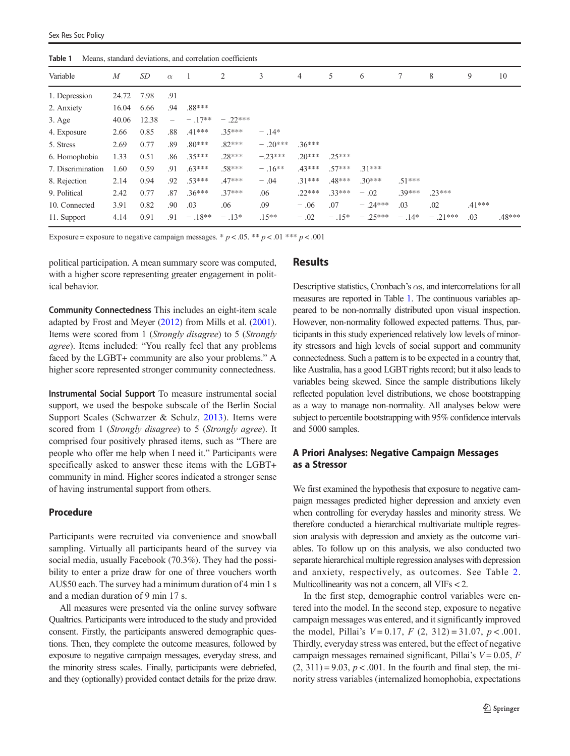| i unici i<br>Tricans, standard deviations, and correlation coemiciditis |       |                          |          |          |           |          |          |           |          |           |          |          |
|-------------------------------------------------------------------------|-------|--------------------------|----------|----------|-----------|----------|----------|-----------|----------|-----------|----------|----------|
| M                                                                       | SD    | $\alpha$                 |          | 2        | 3         | 4        | 5        | 6         | 7        | 8         | 9        | 10       |
| 24.72                                                                   | 7.98  | .91                      |          |          |           |          |          |           |          |           |          |          |
| 16.04                                                                   | 6.66  | .94                      | $.88***$ |          |           |          |          |           |          |           |          |          |
| 40.06                                                                   | 12.38 | $\overline{\phantom{m}}$ | $-.17**$ | $-22***$ |           |          |          |           |          |           |          |          |
| 2.66                                                                    | 0.85  | .88                      | $.41***$ | $.35***$ | $-.14*$   |          |          |           |          |           |          |          |
| 2.69                                                                    | 0.77  | .89                      | $.80***$ | $.82***$ | $-.20***$ | $.36***$ |          |           |          |           |          |          |
| 1.33                                                                    | 0.51  | .86                      | $.35***$ | $.28***$ | $-23***$  | $.20***$ | 25***    |           |          |           |          |          |
| 1.60                                                                    | 0.59  | .91                      | $.63***$ | $.58***$ | $-.16**$  | .43***   | $.57***$ | $31***$   |          |           |          |          |
| 2.14                                                                    | 0.94  | .92                      | $.53***$ | $.47***$ | $-.04$    | $.31***$ | .48***   | $.30***$  | $.51***$ |           |          |          |
| 2.42                                                                    | 0.77  | .87                      | $.36***$ | $.37***$ | .06       | $22***$  | $33***$  | $-.02$    | .39***   | $23***$   |          |          |
| 3.91                                                                    | 0.82  | .90                      | .03      | .06      | .09       | $-.06$   | .07      | $-.24***$ | .03      | .02       | $.41***$ |          |
| 4.14                                                                    | 0.91  | .91                      | $-.18**$ | $-.13*$  | $.15**$   | $-.02$   | $-.15*$  | $-.25***$ | $-.14*$  | $-.21***$ | .03      | $.48***$ |
|                                                                         |       |                          |          | - 1      |           |          |          |           |          |           |          |          |

<span id="page-4-0"></span>Table 1 Means, standard deviations, and correlation coefficients

Exposure = exposure to negative campaign messages. \*  $p < .05$ . \*\*  $p < .01$  \*\*\*  $p < .001$ 

political participation. A mean summary score was computed, with a higher score representing greater engagement in political behavior.

Community Connectedness This includes an eight-item scale adapted by Frost and Meyer [\(2012\)](#page-10-0) from Mills et al. [\(2001\)](#page-11-0). Items were scored from 1 (Strongly disagree) to 5 (Strongly agree). Items included: "You really feel that any problems faced by the LGBT+ community are also your problems." A higher score represented stronger community connectedness.

Instrumental Social Support To measure instrumental social support, we used the bespoke subscale of the Berlin Social Support Scales (Schwarzer & Schulz, [2013](#page-11-0)). Items were scored from 1 (Strongly disagree) to 5 (Strongly agree). It comprised four positively phrased items, such as "There are people who offer me help when I need it." Participants were specifically asked to answer these items with the LGBT+ community in mind. Higher scores indicated a stronger sense of having instrumental support from others.

## Procedure

Participants were recruited via convenience and snowball sampling. Virtually all participants heard of the survey via social media, usually Facebook (70.3%). They had the possibility to enter a prize draw for one of three vouchers worth AU\$50 each. The survey had a minimum duration of 4 min 1 s and a median duration of 9 min 17 s.

All measures were presented via the online survey software Qualtrics. Participants were introduced to the study and provided consent. Firstly, the participants answered demographic questions. Then, they complete the outcome measures, followed by exposure to negative campaign messages, everyday stress, and the minority stress scales. Finally, participants were debriefed, and they (optionally) provided contact details for the prize draw.

# **Results**

Descriptive statistics, Cronbach's αs, and intercorrelations for all measures are reported in Table 1. The continuous variables appeared to be non-normally distributed upon visual inspection. However, non-normality followed expected patterns. Thus, participants in this study experienced relatively low levels of minority stressors and high levels of social support and community connectedness. Such a pattern is to be expected in a country that, like Australia, has a good LGBT rights record; but it also leads to variables being skewed. Since the sample distributions likely reflected population level distributions, we chose bootstrapping as a way to manage non-normality. All analyses below were subject to percentile bootstrapping with 95% confidence intervals and 5000 samples.

# A Priori Analyses: Negative Campaign Messages as a Stressor

We first examined the hypothesis that exposure to negative campaign messages predicted higher depression and anxiety even when controlling for everyday hassles and minority stress. We therefore conducted a hierarchical multivariate multiple regression analysis with depression and anxiety as the outcome variables. To follow up on this analysis, we also conducted two separate hierarchical multiple regression analyses with depression and anxiety, respectively, as outcomes. See Table [2.](#page-5-0) Multicollinearity was not a concern, all VIFs < 2.

In the first step, demographic control variables were entered into the model. In the second step, exposure to negative campaign messages was entered, and it significantly improved the model, Pillai's  $V = 0.17$ ,  $F(2, 312) = 31.07$ ,  $p < .001$ . Thirdly, everyday stress was entered, but the effect of negative campaign messages remained significant, Pillai's  $V = 0.05$ , F  $(2, 311) = 9.03, p < .001$ . In the fourth and final step, the minority stress variables (internalized homophobia, expectations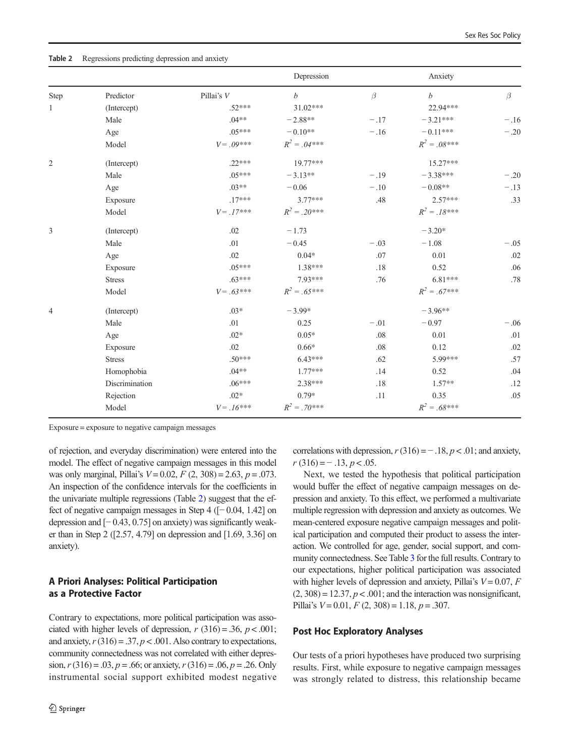#### <span id="page-5-0"></span>Table 2 Regressions predicting depression and anxiety

|                |                |              | Depression       |         | Anxiety          |         |
|----------------|----------------|--------------|------------------|---------|------------------|---------|
| Step           | Predictor      | Pillai's V   | $\boldsymbol{b}$ | $\beta$ | $\boldsymbol{b}$ | $\beta$ |
| 1              | (Intercept)    | $.52***$     | $31.02***$       |         | 22.94***         |         |
|                | Male           | $.04**$      | $-2.88**$        | $-.17$  | $-3.21***$       | $-.16$  |
|                | Age            | $.05***$     | $-0.10**$        | $-.16$  | $-0.11***$       | $-.20$  |
|                | Model          | $V = .09***$ | $R^2 = .04***$   |         | $R^2 = .08***$   |         |
| $\mathfrak{2}$ | (Intercept)    | $.22***$     | 19.77***         |         | 15.27***         |         |
|                | Male           | $.05***$     | $-3.13**$        | $-.19$  | $-3.38***$       | $-.20$  |
|                | Age            | $.03**$      | $-0.06$          | $-.10$  | $-0.08**$        | $-.13$  |
|                | Exposure       | $.17***$     | $3.77***$        | .48     | $2.57***$        | .33     |
|                | Model          | $V = .17***$ | $R^2 = .20***$   |         | $R^2 = .18***$   |         |
| 3              | (Intercept)    | .02          | $-1.73$          |         | $-3.20*$         |         |
|                | Male           | .01          | $-0.45$          | $-.03$  | $-1.08$          | $-.05$  |
|                | Age            | .02          | $0.04*$          | .07     | 0.01             | .02     |
|                | Exposure       | $.05***$     | 1.38***          | .18     | 0.52             | .06     |
|                | <b>Stress</b>  | $.63***$     | 7.93***          | .76     | $6.81***$        | .78     |
|                | Model          | $V = .63***$ | $R^2 = .65***$   |         | $R^2 = .67***$   |         |
| 4              | (Intercept)    | $.03*$       | $-3.99*$         |         | $-3.96**$        |         |
|                | Male           | .01          | 0.25             | $-.01$  | $-0.97$          | $-.06$  |
|                | Age            | $.02*$       | $0.05*$          | .08     | 0.01             | .01     |
|                | Exposure       | .02          | $0.66*$          | .08     | 0.12             | .02     |
|                | <b>Stress</b>  | $.50***$     | $6.43***$        | .62     | 5.99***          | .57     |
|                | Homophobia     | $.04**$      | $1.77***$        | .14     | 0.52             | .04     |
|                | Discrimination | $.06***$     | 2.38***          | .18     | $1.57**$         | .12     |
|                | Rejection      | $.02*$       | $0.79*$          | .11     | 0.35             | .05     |
|                | Model          | $V = .16***$ | $R^2 = 0.70***$  |         | $R^2 = .68***$   |         |

Exposure = exposure to negative campaign messages

of rejection, and everyday discrimination) were entered into the model. The effect of negative campaign messages in this model was only marginal, Pillai's  $V = 0.02$ ,  $F (2, 308) = 2.63$ ,  $p = .073$ . An inspection of the confidence intervals for the coefficients in the univariate multiple regressions (Table 2) suggest that the effect of negative campaign messages in Step 4 ([− 0.04, 1.42] on depression and  $[-0.43, 0.75]$  on anxiety) was significantly weaker than in Step 2 ([2.57, 4.79] on depression and [1.69, 3.36] on anxiety).

# A Priori Analyses: Political Participation as a Protective Factor

Contrary to expectations, more political participation was associated with higher levels of depression,  $r(316) = .36$ ,  $p < .001$ ; and anxiety,  $r(316) = .37, p < .001$ . Also contrary to expectations, community connectedness was not correlated with either depression,  $r(316) = .03$ ,  $p = .66$ ; or anxiety,  $r(316) = .06$ ,  $p = .26$ . Only instrumental social support exhibited modest negative correlations with depression,  $r(316) = -.18$ ,  $p < .01$ ; and anxiety,  $r(316) = -.13, p < .05.$ 

Next, we tested the hypothesis that political participation would buffer the effect of negative campaign messages on depression and anxiety. To this effect, we performed a multivariate multiple regression with depression and anxiety as outcomes. We mean-centered exposure negative campaign messages and political participation and computed their product to assess the interaction. We controlled for age, gender, social support, and community connectedness. See Table [3](#page-6-0) for the full results. Contrary to our expectations, higher political participation was associated with higher levels of depression and anxiety, Pillai's  $V = 0.07$ , F  $(2, 308) = 12.37, p < .001$ ; and the interaction was nonsignificant, Pillai's  $V = 0.01, F(2, 308) = 1.18, p = .307.$ 

#### Post Hoc Exploratory Analyses

Our tests of a priori hypotheses have produced two surprising results. First, while exposure to negative campaign messages was strongly related to distress, this relationship became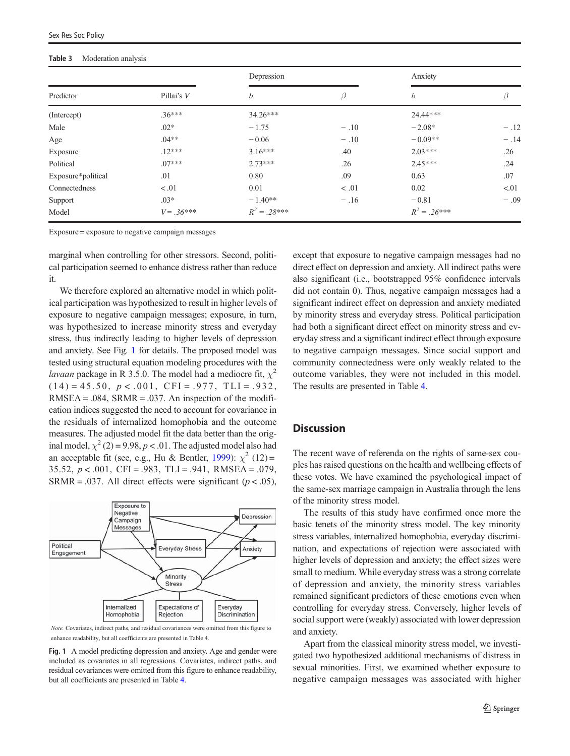#### <span id="page-6-0"></span>Table 3 Moderation analysis

|                    |              | Depression     |        | Anxiety        |        |  |
|--------------------|--------------|----------------|--------|----------------|--------|--|
| Predictor          | Pillai's V   | b              | β      | b              | β      |  |
| (Intercept)        | $.36***$     | $34.26***$     |        | 24.44***       |        |  |
| Male               | $.02*$       | $-1.75$        | $-.10$ | $-2.08*$       | $-.12$ |  |
| Age                | $.04**$      | $-0.06$        | $-.10$ | $-0.09**$      | $-.14$ |  |
| Exposure           | $.12***$     | $3.16***$      | .40    | $2.03***$      | .26    |  |
| Political          | $.07***$     | $2.73***$      | .26    | $2.45***$      | .24    |  |
| Exposure*political | .01          | 0.80           | .09    | 0.63           | .07    |  |
| Connectedness      | < 0.01       | 0.01           | < .01  | 0.02           | < 01   |  |
| Support            | $.03*$       | $-1.40**$      | $-.16$ | $-0.81$        | $-.09$ |  |
| Model              | $V = .36***$ | $R^2 = .28***$ |        | $R^2 = .26***$ |        |  |

Exposure = exposure to negative campaign messages

marginal when controlling for other stressors. Second, political participation seemed to enhance distress rather than reduce it.

We therefore explored an alternative model in which political participation was hypothesized to result in higher levels of exposure to negative campaign messages; exposure, in turn, was hypothesized to increase minority stress and everyday stress, thus indirectly leading to higher levels of depression and anxiety. See Fig. 1 for details. The proposed model was tested using structural equation modeling procedures with the *lavaan* package in R 3.5.0. The model had a mediocre fit,  $\chi^2$  $(14) = 45.50, p < .001, CFI = .977, TLI = .932,$  $RMSEA = .084$ ,  $SRMR = .037$ . An inspection of the modification indices suggested the need to account for covariance in the residuals of internalized homophobia and the outcome measures. The adjusted model fit the data better than the original model,  $\chi^2$  (2) = 9.98, p < .01. The adjusted model also had an acceptable fit (see, e.g., Hu & Bentler, [1999](#page-10-0)):  $\chi^2$  (12) = 35.52,  $p < .001$ , CFI = .983, TLI = .941, RMSEA = .079, SRMR = .037. All direct effects were significant ( $p < .05$ ),



enhance readability, but all coefficients are presented in Table 4.

Fig. 1 A model predicting depression and anxiety. Age and gender were included as covariates in all regressions. Covariates, indirect paths, and residual covariances were omitted from this figure to enhance readability, but all coefficients are presented in Table [4.](#page-7-0)

except that exposure to negative campaign messages had no direct effect on depression and anxiety. All indirect paths were also significant (i.e., bootstrapped 95% confidence intervals did not contain 0). Thus, negative campaign messages had a significant indirect effect on depression and anxiety mediated by minority stress and everyday stress. Political participation had both a significant direct effect on minority stress and everyday stress and a significant indirect effect through exposure to negative campaign messages. Since social support and community connectedness were only weakly related to the outcome variables, they were not included in this model. The results are presented in Table [4.](#page-7-0)

# **Discussion**

The recent wave of referenda on the rights of same-sex couples has raised questions on the health and wellbeing effects of these votes. We have examined the psychological impact of the same-sex marriage campaign in Australia through the lens of the minority stress model.

The results of this study have confirmed once more the basic tenets of the minority stress model. The key minority stress variables, internalized homophobia, everyday discrimination, and expectations of rejection were associated with higher levels of depression and anxiety; the effect sizes were small to medium. While everyday stress was a strong correlate of depression and anxiety, the minority stress variables remained significant predictors of these emotions even when controlling for everyday stress. Conversely, higher levels of social support were (weakly) associated with lower depression and anxiety.

Apart from the classical minority stress model, we investigated two hypothesized additional mechanisms of distress in sexual minorities. First, we examined whether exposure to negative campaign messages was associated with higher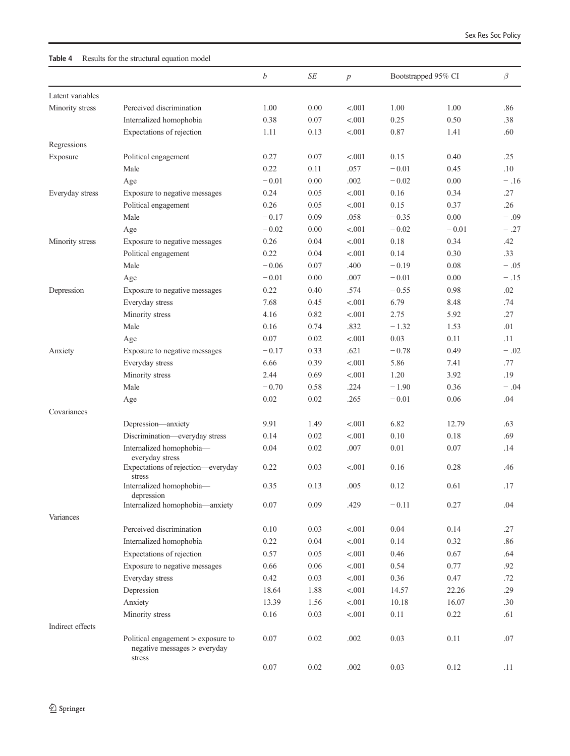# <span id="page-7-0"></span>Table 4 Results for the structural equation model

|                  |                                                                              |          | $\cal SE$ | $\boldsymbol{p}$ | Bootstrapped 95% CI |         | $\beta$ |
|------------------|------------------------------------------------------------------------------|----------|-----------|------------------|---------------------|---------|---------|
| Latent variables |                                                                              |          |           |                  |                     |         |         |
| Minority stress  | Perceived discrimination                                                     | 1.00     | 0.00      | < .001           | 1.00                | 1.00    | .86     |
|                  | Internalized homophobia                                                      | 0.38     | 0.07      | < .001           | 0.25                | 0.50    | .38     |
|                  | Expectations of rejection                                                    | 1.11     | 0.13      | < .001           | 0.87                | 1.41    | .60     |
| Regressions      |                                                                              |          |           |                  |                     |         |         |
| Exposure         | Political engagement                                                         | 0.27     | $0.07\,$  | < .001           | 0.15                | 0.40    | .25     |
|                  | Male                                                                         | 0.22     | 0.11      | .057             | $-0.01$             | 0.45    | .10     |
|                  | Age                                                                          | $-0.01$  | $0.00\,$  | .002             | $-0.02$             | 0.00    | $-.16$  |
| Everyday stress  | Exposure to negative messages                                                | 0.24     | 0.05      | < .001           | 0.16                | 0.34    | .27     |
|                  | Political engagement                                                         | 0.26     | 0.05      | < .001           | 0.15                | 0.37    | .26     |
|                  | Male                                                                         | $-0.17$  | 0.09      | .058             | $-0.35$             | 0.00    | $-.09$  |
|                  | Age                                                                          | $-0.02$  | $0.00\,$  | < .001           | $-0.02$             | $-0.01$ | $-.27$  |
| Minority stress  | Exposure to negative messages                                                | 0.26     | 0.04      | < .001           | 0.18                | 0.34    | .42     |
|                  | Political engagement                                                         | 0.22     | 0.04      | < .001           | 0.14                | 0.30    | .33     |
|                  | Male                                                                         | $-0.06$  | 0.07      | .400             | $-0.19$             | 0.08    | $-.05$  |
|                  | Age                                                                          | $-0.01$  | 0.00      | $.007$           | $-0.01$             | 0.00    | $-.15$  |
| Depression       | Exposure to negative messages                                                | 0.22     | 0.40      | .574             | $-0.55$             | 0.98    | .02     |
|                  | Everyday stress                                                              | 7.68     | 0.45      | < .001           | 6.79                | 8.48    | .74     |
|                  | Minority stress                                                              | 4.16     | 0.82      | < .001           | 2.75                | 5.92    | .27     |
|                  | Male                                                                         | 0.16     | 0.74      | .832             | $-1.32$             | 1.53    | .01     |
|                  | Age                                                                          | 0.07     | 0.02      | < .001           | 0.03                | 0.11    | .11     |
| Anxiety          | Exposure to negative messages                                                | $-0.17$  | 0.33      | .621             | $-0.78$             | 0.49    | $-.02$  |
|                  | Everyday stress                                                              | 6.66     | 0.39      | < .001           | 5.86                | 7.41    | .77     |
|                  | Minority stress                                                              | 2.44     | 0.69      | < .001           | 1.20                | 3.92    | .19     |
|                  | Male                                                                         | $-0.70$  | 0.58      | .224             | $-1.90$             | 0.36    | $-.04$  |
|                  | Age                                                                          | 0.02     | 0.02      | .265             | $-0.01$             | 0.06    | .04     |
| Covariances      |                                                                              |          |           |                  |                     |         |         |
|                  | Depression-anxiety                                                           | 9.91     | 1.49      | < .001           | 6.82                | 12.79   | .63     |
|                  | Discrimination-everyday stress                                               | 0.14     | 0.02      | < .001           | 0.10                | 0.18    | .69     |
|                  | Internalized homophobia-<br>everyday stress                                  | 0.04     | 0.02      | .007             | 0.01                | 0.07    | .14     |
|                  | Expectations of rejection-everyday<br>stress                                 | 0.22     | 0.03      | < .001           | 0.16                | 0.28    | .46     |
|                  | Internalized homophobia-<br>depression                                       | 0.35     | 0.13      | .005             | 0.12                | 0.61    | .17     |
|                  | Internalized homophobia-anxiety                                              | $0.07\,$ | 0.09      | .429             | $-0.11$             | 0.27    | .04     |
| Variances        |                                                                              |          |           |                  |                     |         |         |
|                  | Perceived discrimination                                                     | 0.10     | 0.03      | < .001           | 0.04                | 0.14    | .27     |
|                  | Internalized homophobia                                                      | 0.22     | 0.04      | < .001           | 0.14                | 0.32    | .86     |
|                  | Expectations of rejection                                                    | 0.57     | 0.05      | < .001           | 0.46                | 0.67    | .64     |
|                  | Exposure to negative messages                                                | 0.66     | $0.06\,$  | < .001           | 0.54                | 0.77    | .92     |
|                  | Everyday stress                                                              | 0.42     | 0.03      | < .001           | 0.36                | 0.47    | .72     |
|                  | Depression                                                                   | 18.64    | 1.88      | < .001           | 14.57               | 22.26   | .29     |
|                  | Anxiety                                                                      | 13.39    | 1.56      | < .001           | 10.18               | 16.07   | .30     |
|                  | Minority stress                                                              | 0.16     | 0.03      | < .001           | 0.11                | 0.22    | .61     |
| Indirect effects |                                                                              |          |           |                  |                     |         |         |
|                  | Political engagement > exposure to<br>negative messages > everyday<br>stress | 0.07     | 0.02      | .002             | 0.03                | 0.11    | .07     |
|                  |                                                                              | 0.07     | 0.02      | .002             | 0.03                | 0.12    | .11     |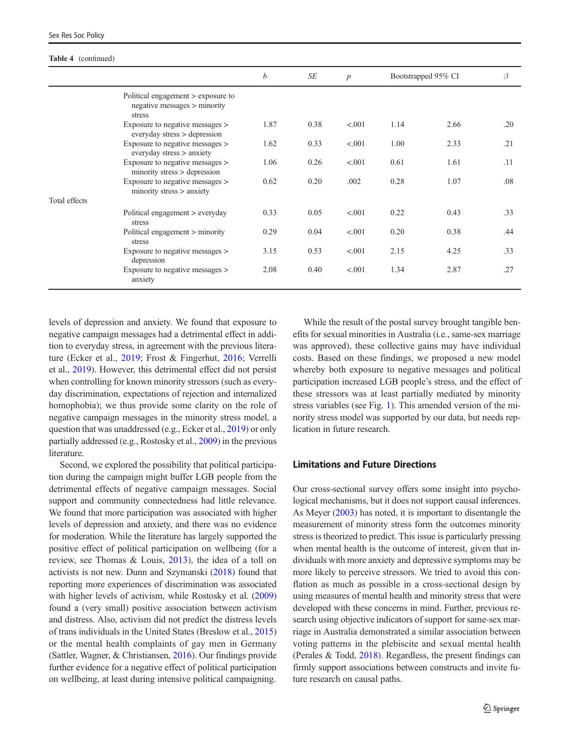#### Table 4 (continued)

|               |                                                                              | b    | SE   | $\boldsymbol{p}$ | Bootstrapped 95% CI |      | β   |
|---------------|------------------------------------------------------------------------------|------|------|------------------|---------------------|------|-----|
|               | Political engagement > exposure to<br>negative messages > minority<br>stress |      |      |                  |                     |      |     |
|               | Exposure to negative messages ><br>everyday stress > depression              | 1.87 | 0.38 | < .001           | 1.14                | 2.66 | .20 |
|               | Exposure to negative messages ><br>everyday stress > anxiety                 | 1.62 | 0.33 | < .001           | 1.00                | 2.33 | .21 |
|               | Exposure to negative messages ><br>minority stress > depression              | 1.06 | 0.26 | < .001           | 0.61                | 1.61 | .11 |
|               | Exposure to negative messages ><br>minority stress > anxiety                 | 0.62 | 0.20 | .002             | 0.28                | 1.07 | .08 |
| Total effects |                                                                              |      |      |                  |                     |      |     |
|               | Political engagement > everyday<br>stress                                    | 0.33 | 0.05 | < .001           | 0.22                | 0.43 | .33 |
|               | Political engagement > minority<br>stress                                    | 0.29 | 0.04 | < .001           | 0.20                | 0.38 | .44 |
|               | Exposure to negative messages ><br>depression                                | 3.15 | 0.53 | < .001           | 2.15                | 4.25 | .33 |
|               | Exposure to negative messages ><br>anxiety                                   | 2.08 | 0.40 | < .001           | 1.34                | 2.87 | .27 |

levels of depression and anxiety. We found that exposure to negative campaign messages had a detrimental effect in addition to everyday stress, in agreement with the previous literature (Ecker et al., [2019;](#page-10-0) Frost & Fingerhut, [2016](#page-10-0); Verrelli et al., [2019](#page-11-0)). However, this detrimental effect did not persist when controlling for known minority stressors (such as everyday discrimination, expectations of rejection and internalized homophobia); we thus provide some clarity on the role of negative campaign messages in the minority stress model, a question that was unaddressed (e.g., Ecker et al., [2019\)](#page-10-0) or only partially addressed (e.g., Rostosky et al., [2009](#page-11-0)) in the previous literature.

Second, we explored the possibility that political participation during the campaign might buffer LGB people from the detrimental effects of negative campaign messages. Social support and community connectedness had little relevance. We found that more participation was associated with higher levels of depression and anxiety, and there was no evidence for moderation. While the literature has largely supported the positive effect of political participation on wellbeing (for a review, see Thomas & Louis, [2013](#page-11-0)), the idea of a toll on activists is not new. Dunn and Szymanski [\(2018](#page-10-0)) found that reporting more experiences of discrimination was associated with higher levels of activism, while Rostosky et al. [\(2009\)](#page-11-0) found a (very small) positive association between activism and distress. Also, activism did not predict the distress levels of trans individuals in the United States (Breslow et al., [2015\)](#page-10-0) or the mental health complaints of gay men in Germany (Sattler, Wagner, & Christiansen, [2016](#page-11-0)). Our findings provide further evidence for a negative effect of political participation on wellbeing, at least during intensive political campaigning.

While the result of the postal survey brought tangible benefits for sexual minorities in Australia (i.e., same-sex marriage was approved), these collective gains may have individual costs. Based on these findings, we proposed a new model whereby both exposure to negative messages and political participation increased LGB people's stress, and the effect of these stressors was at least partially mediated by minority stress variables (see Fig. [1\)](#page-6-0). This amended version of the minority stress model was supported by our data, but needs replication in future research.

## Limitations and Future Directions

Our cross-sectional survey offers some insight into psychological mechanisms, but it does not support causal inferences. As Meyer ([2003](#page-11-0)) has noted, it is important to disentangle the measurement of minority stress form the outcomes minority stress is theorized to predict. This issue is particularly pressing when mental health is the outcome of interest, given that individuals with more anxiety and depressive symptoms may be more likely to perceive stressors. We tried to avoid this conflation as much as possible in a cross-sectional design by using measures of mental health and minority stress that were developed with these concerns in mind. Further, previous research using objective indicators of support for same-sex marriage in Australia demonstrated a similar association between voting patterns in the plebiscite and sexual mental health (Perales & Todd, [2018](#page-11-0)). Regardless, the present findings can firmly support associations between constructs and invite future research on causal paths.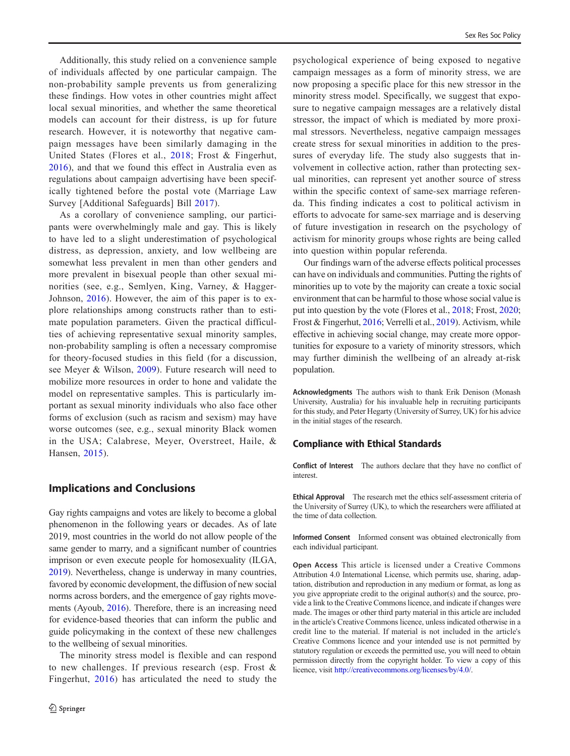Additionally, this study relied on a convenience sample of individuals affected by one particular campaign. The non-probability sample prevents us from generalizing these findings. How votes in other countries might affect local sexual minorities, and whether the same theoretical models can account for their distress, is up for future research. However, it is noteworthy that negative campaign messages have been similarly damaging in the United States (Flores et al., [2018](#page-10-0); Frost & Fingerhut, [2016](#page-10-0)), and that we found this effect in Australia even as regulations about campaign advertising have been specifically tightened before the postal vote (Marriage Law Survey [Additional Safeguards] Bill [2017\)](#page-10-0).

As a corollary of convenience sampling, our participants were overwhelmingly male and gay. This is likely to have led to a slight underestimation of psychological distress, as depression, anxiety, and low wellbeing are somewhat less prevalent in men than other genders and more prevalent in bisexual people than other sexual minorities (see, e.g., Semlyen, King, Varney, & Hagger-Johnson, [2016\)](#page-11-0). However, the aim of this paper is to explore relationships among constructs rather than to estimate population parameters. Given the practical difficulties of achieving representative sexual minority samples, non-probability sampling is often a necessary compromise for theory-focused studies in this field (for a discussion, see Meyer & Wilson, [2009\)](#page-11-0). Future research will need to mobilize more resources in order to hone and validate the model on representative samples. This is particularly important as sexual minority individuals who also face other forms of exclusion (such as racism and sexism) may have worse outcomes (see, e.g., sexual minority Black women in the USA; Calabrese, Meyer, Overstreet, Haile, & Hansen, [2015\)](#page-10-0).

## Implications and Conclusions

Gay rights campaigns and votes are likely to become a global phenomenon in the following years or decades. As of late 2019, most countries in the world do not allow people of the same gender to marry, and a significant number of countries imprison or even execute people for homosexuality (ILGA, [2019\)](#page-10-0). Nevertheless, change is underway in many countries, favored by economic development, the diffusion of new social norms across borders, and the emergence of gay rights movements (Ayoub, [2016](#page-10-0)). Therefore, there is an increasing need for evidence-based theories that can inform the public and guide policymaking in the context of these new challenges to the wellbeing of sexual minorities.

The minority stress model is flexible and can respond to new challenges. If previous research (esp. Frost & Fingerhut, [2016\)](#page-10-0) has articulated the need to study the

psychological experience of being exposed to negative campaign messages as a form of minority stress, we are now proposing a specific place for this new stressor in the minority stress model. Specifically, we suggest that exposure to negative campaign messages are a relatively distal stressor, the impact of which is mediated by more proximal stressors. Nevertheless, negative campaign messages create stress for sexual minorities in addition to the pressures of everyday life. The study also suggests that involvement in collective action, rather than protecting sexual minorities, can represent yet another source of stress within the specific context of same-sex marriage referenda. This finding indicates a cost to political activism in efforts to advocate for same-sex marriage and is deserving of future investigation in research on the psychology of activism for minority groups whose rights are being called into question within popular referenda.

Our findings warn of the adverse effects political processes can have on individuals and communities. Putting the rights of minorities up to vote by the majority can create a toxic social environment that can be harmful to those whose social value is put into question by the vote (Flores et al., [2018](#page-10-0); Frost, [2020;](#page-10-0) Frost & Fingerhut, [2016;](#page-10-0) Verrelli et al., [2019\)](#page-11-0). Activism, while effective in achieving social change, may create more opportunities for exposure to a variety of minority stressors, which may further diminish the wellbeing of an already at-risk population.

Acknowledgments The authors wish to thank Erik Denison (Monash University, Australia) for his invaluable help in recruiting participants for this study, and Peter Hegarty (University of Surrey, UK) for his advice in the initial stages of the research.

#### Compliance with Ethical Standards

Conflict of Interest The authors declare that they have no conflict of interest.

Ethical Approval The research met the ethics self-assessment criteria of the University of Surrey (UK), to which the researchers were affiliated at the time of data collection.

Informed Consent Informed consent was obtained electronically from each individual participant.

Open Access This article is licensed under a Creative Commons Attribution 4.0 International License, which permits use, sharing, adaptation, distribution and reproduction in any medium or format, as long as you give appropriate credit to the original author(s) and the source, provide a link to the Creative Commons licence, and indicate if changes were made. The images or other third party material in this article are included in the article's Creative Commons licence, unless indicated otherwise in a credit line to the material. If material is not included in the article's Creative Commons licence and your intended use is not permitted by statutory regulation or exceeds the permitted use, you will need to obtain permission directly from the copyright holder. To view a copy of this licence, visit <http://creativecommons.org/licenses/by/4.0/>.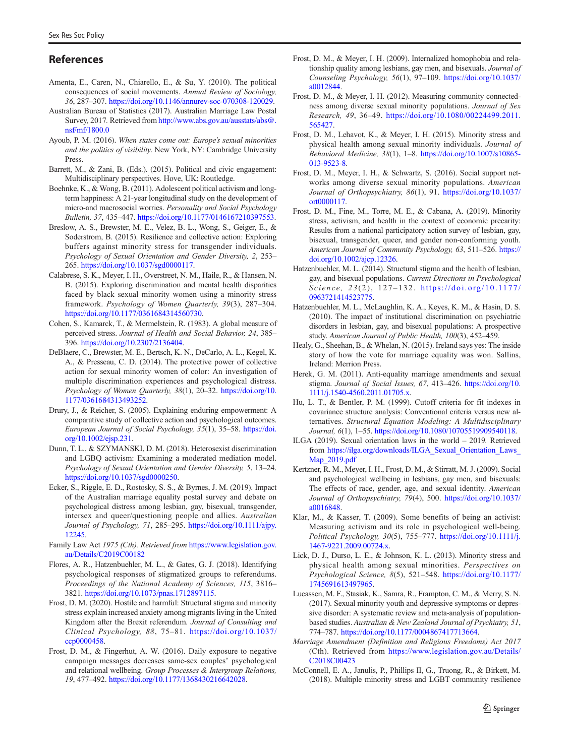## <span id="page-10-0"></span>References

- Amenta, E., Caren, N., Chiarello, E., & Su, Y. (2010). The political consequences of social movements. Annual Review of Sociology, 36, 287–307. <https://doi.org/10.1146/annurev-soc-070308-120029>.
- Australian Bureau of Statistics (2017). Australian Marriage Law Postal Survey, 2017. Retrieved from [http://www.abs.gov.au/ausstats/abs@.](http://www.abs.gov.au/ausstats/abs@.nsf/mf/1800.0) [nsf/mf/1800.0](http://www.abs.gov.au/ausstats/abs@.nsf/mf/1800.0)
- Ayoub, P. M. (2016). When states come out: Europe's sexual minorities and the politics of visibility. New York, NY: Cambridge University Press.
- Barrett, M., & Zani, B. (Eds.). (2015). Political and civic engagement: Multidisciplinary perspectives. Hove, UK: Routledge.
- Boehnke, K., & Wong, B. (2011). Adolescent political activism and longterm happiness: A 21-year longitudinal study on the development of micro-and macrosocial worries. Personality and Social Psychology Bulletin, 37, 435–447. [https://doi.org/10.1177/0146167210397553.](https://doi.org/10.1177/0146167210397553)
- Breslow, A. S., Brewster, M. E., Velez, B. L., Wong, S., Geiger, E., & Soderstrom, B. (2015). Resilience and collective action: Exploring buffers against minority stress for transgender individuals. Psychology of Sexual Orientation and Gender Diversity, 2, 253– 265. [https://doi.org/10.1037/sgd0000117.](https://doi.org/10.1037/sgd0000117)
- Calabrese, S. K., Meyer, I. H., Overstreet, N. M., Haile, R., & Hansen, N. B. (2015). Exploring discrimination and mental health disparities faced by black sexual minority women using a minority stress framework. Psychology of Women Quarterly, 39(3), 287–304. [https://doi.org/10.1177/0361684314560730.](https://doi.org/10.1177/0361684314560730)
- Cohen, S., Kamarck, T., & Mermelstein, R. (1983). A global measure of perceived stress. Journal of Health and Social Behavior, 24, 385– 396. [https://doi.org/10.2307/2136404.](https://doi.org/10.2307/2136404)
- DeBlaere, C., Brewster, M. E., Bertsch, K. N., DeCarlo, A. L., Kegel, K. A., & Presseau, C. D. (2014). The protective power of collective action for sexual minority women of color: An investigation of multiple discrimination experiences and psychological distress. Psychology of Women Quarterly, 38(1), 20–32. [https://doi.org/10.](https://doi.org/10.1177/0361684313493252) [1177/0361684313493252.](https://doi.org/10.1177/0361684313493252)
- Drury, J., & Reicher, S. (2005). Explaining enduring empowerment: A comparative study of collective action and psychological outcomes. European Journal of Social Psychology, 35(1), 35–58. [https://doi.](https://doi.org/10.1002/ejsp.231) [org/10.1002/ejsp.231.](https://doi.org/10.1002/ejsp.231)
- Dunn, T. L., & SZYMANSKI, D. M. (2018). Heterosexist discrimination and LGBQ activism: Examining a moderated mediation model. Psychology of Sexual Orientation and Gender Diversity, 5, 13–24. [https://doi.org/10.1037/sgd0000250](http://creativecommons.org/licenses/by/4.0/).
- Ecker, S., Riggle, E. D., Rostosky, S. S., & Byrnes, J. M. (2019). Impact of the Australian marriage equality postal survey and debate on psychological distress among lesbian, gay, bisexual, transgender, intersex and queer/questioning people and allies. Australian Journal of Psychology, 71, 285-295. [https://doi.org/10.1111/ajpy.](https://doi.org/10.1111/ajpy.12245) [12245.](https://doi.org/10.1111/ajpy.12245)
- Family Law Act 1975 (Cth). Retrieved from [https://www.legislation.gov.](https://www.legislation.gov.au/Details/C2019C00182Flores) [au/Details/C2019C00182](https://www.legislation.gov.au/Details/C2019C00182Flores)
- Flores, A. R., Hatzenbuehler, M. L., & Gates, G. J. (2018). Identifying psychological responses of stigmatized groups to referendums. Proceedings of the National Academy of Sciences, 115, 3816– 3821. [https://doi.org/10.1073/pnas.1712897115.](https://doi.org/10.1073/pnas.1712897115)
- Frost, D. M. (2020). Hostile and harmful: Structural stigma and minority stress explain increased anxiety among migrants living in the United Kingdom after the Brexit referendum. Journal of Consulting and Clinical Psychology, 88, 75–81. [https://doi.org/10.1037/](https://doi.org/10.1037/ccp0000458) [ccp0000458](https://doi.org/10.1037/ccp0000458).
- Frost, D. M., & Fingerhut, A. W. (2016). Daily exposure to negative campaign messages decreases same-sex couples' psychological and relational wellbeing. Group Processes & Intergroup Relations, 19, 477–492. [https://doi.org/10.1177/1368430216642028.](https://doi.org/10.1177/1368430216642028)
- Frost, D. M., & Meyer, I. H. (2009). Internalized homophobia and relationship quality among lesbians, gay men, and bisexuals. Journal of Counseling Psychology, 56(1), 97–109. [https://doi.org/10.1037/](https://doi.org/10.1037/a0012844) [a0012844.](https://doi.org/10.1037/a0012844)
- Frost, D. M., & Meyer, I. H. (2012). Measuring community connectedness among diverse sexual minority populations. Journal of Sex Research, 49, 36–49. [https://doi.org/10.1080/00224499.2011.](https://doi.org/10.1080/00224499.2011.565427) [565427.](https://doi.org/10.1080/00224499.2011.565427)
- Frost, D. M., Lehavot, K., & Meyer, I. H. (2015). Minority stress and physical health among sexual minority individuals. Journal of Behavioral Medicine, 38(1), 1–8. [https://doi.org/10.1007/s10865-](https://doi.org/10.1007/s10865-013-9523-8) [013-9523-8](https://doi.org/10.1007/s10865-013-9523-8).
- Frost, D. M., Meyer, I. H., & Schwartz, S. (2016). Social support networks among diverse sexual minority populations. American Journal of Orthopsychiatry, 86(1), 91. [https://doi.org/10.1037/](https://doi.org/10.1037/ort0000117) [ort0000117.](https://doi.org/10.1037/ort0000117)
- Frost, D. M., Fine, M., Torre, M. E., & Cabana, A. (2019). Minority stress, activism, and health in the context of economic precarity: Results from a national participatory action survey of lesbian, gay, bisexual, transgender, queer, and gender non-conforming youth. American Journal of Community Psychology, 63, 511–526. [https://](https://doi.org/10.1002/ajcp.12326) [doi.org/10.1002/ajcp.12326.](https://doi.org/10.1002/ajcp.12326)
- Hatzenbuehler, M. L. (2014). Structural stigma and the health of lesbian, gay, and bisexual populations. Current Directions in Psychological Science, 23(2), 127-132. [https://doi.org/10.1177/](https://doi.org/10.1177/0963721414523775) [0963721414523775](https://doi.org/10.1177/0963721414523775).
- Hatzenbuehler, M. L., McLaughlin, K. A., Keyes, K. M., & Hasin, D. S. (2010). The impact of institutional discrimination on psychiatric disorders in lesbian, gay, and bisexual populations: A prospective study. American Journal of Public Health, 100(3), 452–459.
- Healy, G., Sheehan, B., & Whelan, N. (2015). Ireland says yes: The inside story of how the vote for marriage equality was won. Sallins, Ireland: Merrion Press.
- Herek, G. M. (2011). Anti-equality marriage amendments and sexual stigma. Journal of Social Issues, 67, 413–426. [https://doi.org/10.](https://doi.org/10.1111/j.1540-4560.2011.01705.x) [1111/j.1540-4560.2011.01705.x](https://doi.org/10.1111/j.1540-4560.2011.01705.x).
- Hu, L. T., & Bentler, P. M. (1999). Cutoff criteria for fit indexes in covariance structure analysis: Conventional criteria versus new alternatives. Structural Equation Modeling: A Multidisciplinary Journal, 6(1), 1–55. [https://doi.org/10.1080/10705519909540118.](https://doi.org/10.1080/10705519909540118)
- ILGA (2019). Sexual orientation laws in the world 2019. Retrieved from https://ilga.org/downloads/ILGA\_Sexual\_Orientation\_Laws [Map\\_2019.pdf](https://ilga.org/downloads/ILGA_Sexual_Orientation_Laws_Map_2019.pdf)
- Kertzner, R. M., Meyer, I. H., Frost, D. M., & Stirratt, M. J. (2009). Social and psychological wellbeing in lesbians, gay men, and bisexuals: The effects of race, gender, age, and sexual identity. American Journal of Orthopsychiatry, 79(4), 500. [https://doi.org/10.1037/](https://doi.org/10.1037/a0016848) [a0016848.](https://doi.org/10.1037/a0016848)
- Klar, M., & Kasser, T. (2009). Some benefits of being an activist: Measuring activism and its role in psychological well-being. Political Psychology, 30(5), 755–777. [https://doi.org/10.1111/j.](https://doi.org/10.1111/j.1467-9221.2009.00724.x) [1467-9221.2009.00724.x](https://doi.org/10.1111/j.1467-9221.2009.00724.x).
- Lick, D. J., Durso, L. E., & Johnson, K. L. (2013). Minority stress and physical health among sexual minorities. Perspectives on Psychological Science, 8(5), 521–548. [https://doi.org/10.1177/](https://doi.org/10.1177/1745691613497965) [1745691613497965](https://doi.org/10.1177/1745691613497965).
- Lucassen, M. F., Stasiak, K., Samra, R., Frampton, C. M., & Merry, S. N. (2017). Sexual minority youth and depressive symptoms or depressive disorder: A systematic review and meta-analysis of populationbased studies. Australian & New Zealand Journal of Psychiatry, 51, 774–787. <https://doi.org/10.1177/0004867417713664>.
- Marriage Amendment (Definition and Religious Freedoms) Act 2017 (Cth). Retrieved from [https://www.legislation.gov.au/Details/](https://www.legislation.gov.au/Details/C2018C00423) [C2018C00423](https://www.legislation.gov.au/Details/C2018C00423)
- McConnell, E. A., Janulis, P., Phillips II, G., Truong, R., & Birkett, M. (2018). Multiple minority stress and LGBT community resilience